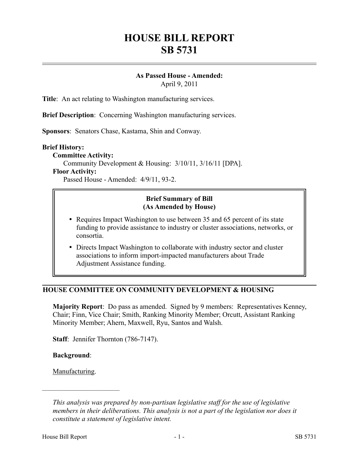# **HOUSE BILL REPORT SB 5731**

## **As Passed House - Amended:**

April 9, 2011

**Title**: An act relating to Washington manufacturing services.

**Brief Description**: Concerning Washington manufacturing services.

**Sponsors**: Senators Chase, Kastama, Shin and Conway.

#### **Brief History:**

**Committee Activity:**

Community Development & Housing: 3/10/11, 3/16/11 [DPA].

#### **Floor Activity:**

Passed House - Amended: 4/9/11, 93-2.

## **Brief Summary of Bill (As Amended by House)**

- Requires Impact Washington to use between 35 and 65 percent of its state funding to provide assistance to industry or cluster associations, networks, or consortia.
- Directs Impact Washington to collaborate with industry sector and cluster associations to inform import-impacted manufacturers about Trade Adjustment Assistance funding.

## **HOUSE COMMITTEE ON COMMUNITY DEVELOPMENT & HOUSING**

**Majority Report**: Do pass as amended. Signed by 9 members: Representatives Kenney, Chair; Finn, Vice Chair; Smith, Ranking Minority Member; Orcutt, Assistant Ranking Minority Member; Ahern, Maxwell, Ryu, Santos and Walsh.

**Staff**: Jennifer Thornton (786-7147).

**Background**:

Manufacturing.

––––––––––––––––––––––

*This analysis was prepared by non-partisan legislative staff for the use of legislative members in their deliberations. This analysis is not a part of the legislation nor does it constitute a statement of legislative intent.*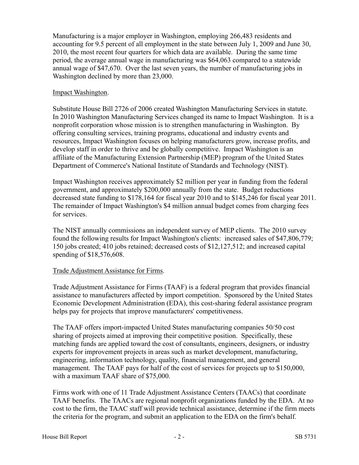Manufacturing is a major employer in Washington, employing 266,483 residents and accounting for 9.5 percent of all employment in the state between July 1, 2009 and June 30, 2010, the most recent four quarters for which data are available. During the same time period, the average annual wage in manufacturing was \$64,063 compared to a statewide annual wage of \$47,670. Over the last seven years, the number of manufacturing jobs in Washington declined by more than 23,000.

#### Impact Washington.

Substitute House Bill 2726 of 2006 created Washington Manufacturing Services in statute. In 2010 Washington Manufacturing Services changed its name to Impact Washington. It is a nonprofit corporation whose mission is to strengthen manufacturing in Washington. By offering consulting services, training programs, educational and industry events and resources, Impact Washington focuses on helping manufacturers grow, increase profits, and develop staff in order to thrive and be globally competitive. Impact Washington is an affiliate of the Manufacturing Extension Partnership (MEP) program of the United States Department of Commerce's National Institute of Standards and Technology (NIST).

Impact Washington receives approximately \$2 million per year in funding from the federal government, and approximately \$200,000 annually from the state. Budget reductions decreased state funding to \$178,164 for fiscal year 2010 and to \$145,246 for fiscal year 2011. The remainder of Impact Washington's \$4 million annual budget comes from charging fees for services.

The NIST annually commissions an independent survey of MEP clients. The 2010 survey found the following results for Impact Washington's clients: increased sales of \$47,806,779; 150 jobs created; 410 jobs retained; decreased costs of \$12,127,512; and increased capital spending of \$18,576,608.

## Trade Adjustment Assistance for Firms.

Trade Adjustment Assistance for Firms (TAAF) is a federal program that provides financial assistance to manufacturers affected by import competition. Sponsored by the United States Economic Development Administration (EDA), this cost-sharing federal assistance program helps pay for projects that improve manufacturers' competitiveness.

The TAAF offers import-impacted United States manufacturing companies 50/50 cost sharing of projects aimed at improving their competitive position. Specifically, these matching funds are applied toward the cost of consultants, engineers, designers, or industry experts for improvement projects in areas such as market development, manufacturing, engineering, information technology, quality, financial management, and general management. The TAAF pays for half of the cost of services for projects up to \$150,000, with a maximum TAAF share of \$75,000.

Firms work with one of 11 Trade Adjustment Assistance Centers (TAACs) that coordinate TAAF benefits. The TAACs are regional nonprofit organizations funded by the EDA. At no cost to the firm, the TAAC staff will provide technical assistance, determine if the firm meets the criteria for the program, and submit an application to the EDA on the firm's behalf.